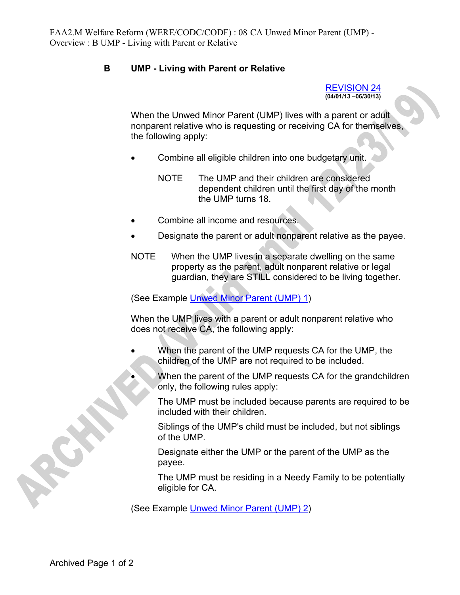## **B UMP - Living with Parent or Relative**

REVISION 24 **(04/01/13 –06/30/13)** 

When the Unwed Minor Parent (UMP) lives with a parent or adult nonparent relative who is requesting or receiving CA for themselves, the following apply:

- Combine all eligible children into one budgetary unit.
	- NOTE The UMP and their children are considered dependent children until the first day of the month the UMP turns 18.
- Combine all income and resources.
- Designate the parent or adult nonparent relative as the payee.
- NOTE When the UMP lives in a separate dwelling on the same property as the parent, adult nonparent relative or legal guardian, they are STILL considered to be living together.

(See Example Unwed Minor Parent (UMP) 1)

When the UMP lives with a parent or adult nonparent relative who does not receive CA, the following apply:

- When the parent of the UMP requests CA for the UMP, the children of the UMP are not required to be included.
	- When the parent of the UMP requests CA for the grandchildren only, the following rules apply:

The UMP must be included because parents are required to be included with their children.

Siblings of the UMP's child must be included, but not siblings of the UMP.

Designate either the UMP or the parent of the UMP as the payee.

The UMP must be residing in a Needy Family to be potentially eligible for CA.

(See Example Unwed Minor Parent (UMP) 2)